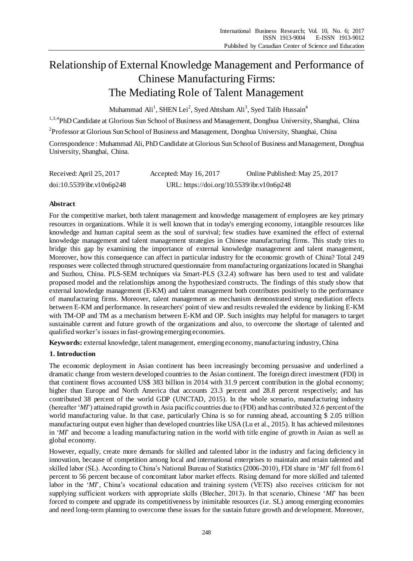# Relationship of External Knowledge Management and Performance of Chinese Manufacturing Firms: The Mediating Role of Talent Management

Muhammad  $\text{Ali}^1$ , SHEN Lei<sup>2</sup>, Syed Ahtsham Ali<sup>3</sup>, Syed Talib Hussain<sup>4</sup>

<sup>1,3,4</sup>PhD Candidate at Glorious Sun School of Business and Management, Donghua University, Shanghai, China

<sup>2</sup>Professor at Glorious Sun School of Business and Management, Donghua University, Shanghai, China

Correspondence : Muhammad Ali, PhD Candidate at Glorious Sun School of Business and Management, Donghua University, Shanghai, China.

| Received: April 25, 2017  | Accepted: May 16, 2017                     | Online Published: May 25, 2017 |
|---------------------------|--------------------------------------------|--------------------------------|
| doi:10.5539/ibr.v10n6p248 | URL: https://doi.org/10.5539/ibr.v10n6p248 |                                |

# **Abstract**

For the competitive market, both talent management and knowledge management of employees are key primary resources in organizations. While it is well known that in today's emerging economy, intangible resources like knowledge and human capital seem as the soul of survival; few studies have examined the effect of external knowledge management and talent management strategies in Chinese manufacturing firms. This study tries to bridge this gap by examining the importance of external knowledge management and talent management, Moreover, how this consequence can affect in particular industry for the economic growth of China? Total 249 responses were collected through structured questionnaire from manufacturing organizations located in Shanghai and Suzhou, China. PLS-SEM techniques via Smart-PLS (3.2.4) software has been used to test and validate proposed model and the relationships among the hypothesized constructs. The findings of this study show that external knowledge management (E-KM) and talent management both contributes positively to the performance of manufacturing firms. Moreover, talent management as mechanism demonstrated strong mediation effects between E-KM and performance. In researchers' point of view and results revealed the evidence by linking E-KM with TM-OP and TM as a mechanism between E-KM and OP. Such insights may helpful for managers to target sustainable current and future growth of the organizations and also, to overcome the shortage of talented and qualified worker's issues in fast-growing emerging economies.

**Keywords:** external knowledge, talent management, emerging economy, manufacturing industry, China

# **1. Introduction**

The economic deployment in Asian continent has been increasingly becoming persuasive and underlined a dramatic change from western developed countries to the Asian continent. The foreign direct investment (FDI) in that continent flows accounted US\$ 383 billion in 2014 with 31.9 percent contribution in the global economy; higher than Europe and North America that accounts 23.3 percent and 28.8 percent respectively; and has contributed 38 percent of the world GDP (UNCTAD, 2015). In the whole scenario, manufacturing industry (hereafter '*MI*') attained rapid growth in Asia pacific countries due to (FDI) and has contributed 32.6 percent of the world manufacturing value. In that case, particularly China is so for running ahead, accounting \$ 2.05 trillion manufacturing output even higher than developed countries like USA (Lu et al., 2015). It has achieved milestones in '*MI*' and become a leading manufacturing nation in the world with title engine of growth in Asian as well as global economy.

However, equally, create more demands for skilled and talented labor in the industry and facing deficiency in innovation, because of competition among local and international enterprises to maintain and retain talented and skilled labor (SL). According to China's National Bureau of Statistics (2006-2010), FDI share in '*MI*' fell from 61 percent to 56 percent because of concomitant labor market effects. Rising demand for more skilled and talented labor in the '*MI*', China's vocational education and training system (VETS) also receives criticism for not supplying sufficient workers with appropriate skills (Blecher, 2013). In that scenario, Chinese '*MI*' has been forced to compete and upgrade its competitiveness by inimitable resources (i.e. SL) among emerging economies and need long-term planning to overcome these issues for the sustain future growth and development. Moreover,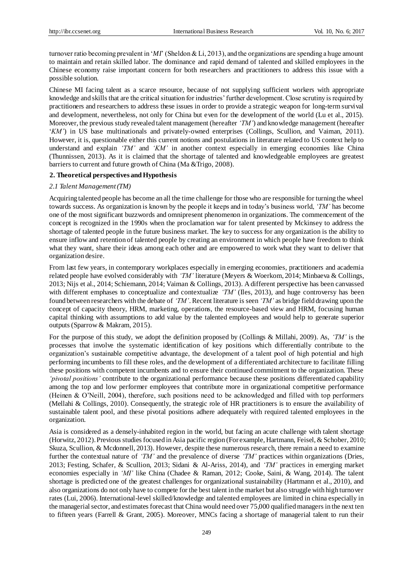turnover ratio becoming prevalent in '*MI*' (Sheldon & Li, 2013), and the organizations are spending a huge amount to maintain and retain skilled labor. The dominance and rapid demand of talented and skilled employees in the Chinese economy raise important concern for both researchers and practitioners to address this issue with a possible solution.

Chinese MI facing talent as a scarce resource, because of not supplying sufficient workers with appropriate knowledge and skills that are the critical situation for industries' further development. Close scrutiny is required by practitioners and researchers to address these issues in order to provide a strategic weapon for long-term survival and development, nevertheless, not only for China but even for the development of the world (Lu et al., 2015). Moreover, the previous study revealed talent management (hereafter *'TM'*) and knowledge management (hereafter '*KM'*) in US base multinationals and privately-owned enterprises (Collings, Scullion, and Vaiman, 2011). However, it is, questionable either this current notions and postulations in literature related to US context help to understand and explain *'TM'* and *'KM'* in another context especially in emerging economies like China (Thunnissen, 2013). As it is claimed that the shortage of talented and knowledgeable employees are greatest barriers to current and future growth of China (Ma &Trigo, 2008).

# **2. Theoretical perspectives and Hypothesis**

# *2.1 Talent Management (TM)*

Acquiring talented people has become an all the time challenge for those who are responsible for turning the wheel towards success. As organization is known by the people it keeps and in today's business world, *'TM'* has become one of the most significant buzzwords and omnipresent phenomenon in organizations. The commencement of the concept is recognized in the 1990s when the proclamation war for talent presented by Mckinsey to address the shortage of talented people in the future business market. The key to success for any organization is the ability to ensure inflow and retention of talented people by creating an environment in which people have freedom to think what they want, share their ideas among each other and are empowered to work what they want to deliver that organization desire.

From last few years, in contemporary workplaces especially in emerging economies, practitioners and academia related people have evolved considerably with *'TM'* literature (Meyers & Woerkom, 2014; Minbaeva & Collings, 2013; Nijs et al., 2014; Schiemann, 2014; Vaiman & Collings, 2013). A different perspective has been canvassed with different emphases to conceptualize and contextualize *'TM'* (Iles, 2013), and huge controversy has been found between researchers with the debate of *'TM'*. Recent literature is seen *'TM'* as bridge field drawing upon the concept of capacity theory, HRM, marketing, operations, the resource-based view and HRM, focusing human capital thinking with assumptions to add value by the talented employees and would help to generate superior outputs (Sparrow & Makram, 2015).

For the purpose of this study, we adopt the definition proposed by (Collings & Millahi, 2009). As, *'TM'* is the processes that involve the systematic identification of key positions which differentially contribute to the organization's sustainable competitive advantage, the development of a talent pool of high potential and high performing incumbents to fill these roles, and the development of a differentiated architecture to facilitate filling these positions with competent incumbents and to ensure their continued commitment to the organization. These *'pivotal positions'* contribute to the organizational performance because these positions differentiated capability among the top and low performer employees that contribute more in organizational competitive performance (Heinen & O'Neill, 2004), therefore, such positions need to be acknowledged and filled with top performers (Mellahi & Collings, 2010). Consequently, the strategic role of HR practitioners is to ensure the availability of sustainable talent pool, and these pivotal positions adhere adequately with required talented employees in the organization.

Asia is considered as a densely-inhabited region in the world, but facing an acute challenge with talent shortage (Horwitz, 2012). Previous studies focused in Asia pacific region (For example, Hartmann, Feisel, & Schober, 2010; Skuza, Scullion, & Mcdonnell, 2013). However, despite these numerous research, there remain a need to examine further the contextual nature of *'TM'* and the prevalence of diverse *'TM'* practices within organizations (Dries, 2013; Festing, Schafer, & Scullion, 2013; Sidani & Al-Ariss, 2014), and *'TM'* practices in emerging market economies especially in *'MI'* like China (Chadee & Raman, 2012; Cooke, Saini, & Wang, 2014). The talent shortage is predicted one of the greatest challenges for organizational sustainability (Hartmann et al., 2010), and also organizations do not only have to compete for the best talent in the market but also struggle with high turnover rates (Lui, 2006). International-level skilled/knowledge and talented employees are limited in china especially in the managerial sector, and estimates forecast that China would need over 75,000 qualified managers in the next ten to fifteen years (Farrell & Grant, 2005). Moreover, MNCs facing a shortage of managerial talent to run their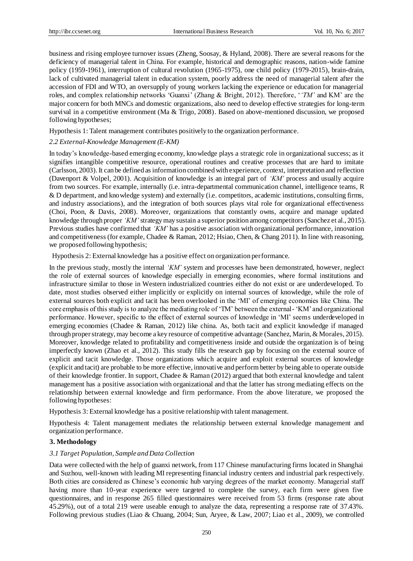business and rising employee turnover issues (Zheng, Soosay, & Hyland, 2008). There are several reasons for the deficiency of managerial talent in China. For example, historical and demographic reasons, nation-wide famine policy (1959-1961), interruption of cultural revolution (1965-1975), one child policy (1979-2015), brain-drain, lack of cultivated managerial talent in education system, poorly address the need of managerial talent after the accession of FDI and WTO, an oversupply of young workers lacking the experience or education for managerial roles, and complex relationship networks 'Guanxi' (Zhang & Bright, 2012). Therefore, '*'TM'* and KM' are the major concern for both MNCs and domestic organizations, also need to develop effective strategies for long-term survival in a competitive environment (Ma & Trigo, 2008). Based on above-mentioned discussion, we proposed following hypotheses;

Hypothesis 1: Talent management contributes positively to the organization performance.

## *2.2 External-Knowledge Management (E-KM)*

In today's knowledge-based emerging economy, knowledge plays a strategic role in organizational success; as it signifies intangible competitive resource, operational routines and creative processes that are hard to imitate (Carlsson, 2003). It can be defined as information combined with experience, context, interpretation and reflection (Davenport & Volpel, 2001). Acquisition of knowledge is an integral part of *'KM'* process and usually acquire from two sources. For example, internally (i.e. intra-departmental communication channel, intelligence teams, R & D department, and knowledge system) and externally (i.e. competitors, academic institutions, consulting firms, and industry associations), and the integration of both sources plays vital role for organizational effectiveness (Choi, Poon, & Davis, 2008). Moreover, organizations that constantly owns, acquire and manage updated knowledge through proper *'KM'* strategy may sustain a superior position among competitors (Sanchez et al., 2015). Previous studies have confirmed that *'KM'* has a positive association with organizational performance, innovation and competitiveness (for example, Chadee & Raman, 2012; Hsiao, Chen, & Chang 2011). In line with reasoning, we proposed following hypothesis;

Hypothesis 2: External knowledge has a positive effect on organization performance.

In the previous study, mostly the internal *'KM'* system and processes have been demonstrated, however, neglect the role of external sources of knowledge especially in emerging economies, where formal institutions and infrastructure similar to those in Western industrialized countries either do not exist or are underdeveloped. To date, most studies observed either implicitly or explicitly on internal sources of knowledge, while the role of external sources both explicit and tacit has been overlooked in the 'MI' of emerging economies like China. The core emphasis of this study is to analyze the mediating role of 'TM' between the external- 'KM' and organizational performance. However, specific to the effect of external sources of knowledge in 'MI' seems underdeveloped in emerging economies (Chadee & Raman, 2012) like china. As, both tacit and explicit knowledge if managed through proper strategy, may become a key resource of competitive advantage (Sanchez, Marin, & Morales, 2015). Moreover, knowledge related to profitability and competitiveness inside and outside the organization is of being imperfectly known (Zhao et al., 2012). This study fills the research gap by focusing on the external source of explicit and tacit knowledge. Those organizations which acquire and exploit external sources of knowledge (explicit and tacit) are probable to be more effective, innovative and perform better by being able to operate outside of their knowledge frontier. In support, Chadee & Raman (2012) argued that both external knowledge and talent management has a positive association with organizational and that the latter has strong mediating effects on the relationship between external knowledge and firm performance. From the above literature, we proposed the following hypotheses:

Hypothesis 3: External knowledge has a positive relationship with talent management.

Hypothesis 4: Talent management mediates the relationship between external knowledge management and organization performance.

#### **3. Methodology**

#### *3.1 Target Population, Sample and Data Collection*

Data were collected with the help of guanxi network, from 117 Chinese manufacturing firms located in Shanghai and Suzhou, well-known with leading MI representing financial industry centers and industrial park respectively. Both cities are considered as Chinese's economic hub varying degrees of the market economy. Managerial staff having more than 10-year experience were targeted to complete the survey, each firm were given five questionnaires, and in response 265 filled questionnaires were received from 53 firms (response rate about 45.29%), out of a total 219 were useable enough to analyze the data, representing a response rate of 37.43%. Following previous studies (Liao & Chuang, 2004; Sun, Aryee, & Law, 2007; Liao et al., 2009), we controlled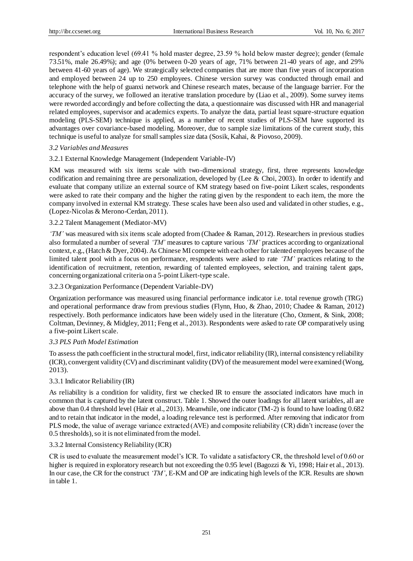respondent's education level (69.41 % hold master degree, 23.59 % hold below master degree); gender (female 73.51%, male 26.49%); and age (0% between 0-20 years of age, 71% between 21-40 years of age, and 29% between 41-60 years of age). We strategically selected companies that are more than five years of incorporation and employed between 24 up to 250 employees. Chinese version survey was conducted through email and telephone with the help of guanxi network and Chinese research mates, because of the language barrier. For the accuracy of the survey, we followed an iterative translation procedure by (Liao et al., 2009). Some survey items were reworded accordingly and before collecting the data, a questionnaire was discussed with HR and managerial related employees, supervisor and academics experts. To analyze the data, partial least square-structure equation modeling (PLS-SEM) technique is applied, as a number of recent studies of PLS-SEM have supported its advantages over covariance-based modeling. Moreover, due to sample size limitations of the current study, this technique is useful to analyze for small samples size data (Sosik, Kahai, & Piovoso, 2009).

## *3.2 Variables and Measures*

## 3.2.1 External Knowledge Management (Independent Variable-IV)

KM was measured with six items scale with two-dimensional strategy, first, three represents knowledge codification and remaining three are personalization, developed by (Lee & Choi, 2003). In order to identify and evaluate that company utilize an external source of KM strategy based on five-point Likert scales, respondents were asked to rate their company and the higher the rating given by the respondent to each item, the more the company involved in external KM strategy. These scales have been also used and validated in other studies, e.g., (Lopez-Nicolas & Merono-Cerdan, 2011).

## 3.2.2 Talent Management (Mediator-MV)

*'TM'* was measured with six items scale adopted from (Chadee & Raman, 2012). Researchers in previous studies also formulated a number of several *'TM'* measures to capture various *'TM'* practices according to organizational context, e.g., (Hatch & Dyer, 2004). As Chinese MI compete with each other for talented employees because of the limited talent pool with a focus on performance, respondents were asked to rate *'TM'* practices relating to the identification of recruitment, retention, rewarding of talented employees, selection, and training talent gaps, concerning organizational criteria on a 5-point Likert-type scale.

## 3.2.3 Organization Performance (Dependent Variable-DV)

Organization performance was measured using financial performance indicator i.e. total revenue growth (TRG) and operational performance draw from previous studies (Flynn, Huo, & Zhao, 2010; Chadee & Raman, 2012) respectively. Both performance indicators have been widely used in the literature (Cho, Ozment, & Sink, 2008; Coltman, Devinney, & Midgley, 2011; Feng et al., 2013). Respondents were asked to rate OP comparatively using a five-point Likert scale.

## *3.3 PLS Path Model Estimation*

To assess the path coefficient in the structural model, first, indicator reliability (IR), internal consistency reliability (ICR), convergent validity (CV) and discriminant validity (DV) of the measurement model were examined (Wong, 2013).

## 3.3.1 Indicator Reliability (IR)

As reliability is a condition for validity, first we checked IR to ensure the associated indicators have much in common that is captured by the latent construct. Table 1. Showed the outer loadings for all latent variables, all are above than 0.4 threshold level (Hair et al., 2013). Meanwhile, one indicator (TM-2) is found to have loading 0.682 and to retain that indicator in the model, a loading relevance test is performed. After removing that indicator from PLS mode, the value of average variance extracted (AVE) and composite reliability (CR) didn't increase (over the 0.5 thresholds), so it is not eliminated from the model.

## 3.3.2 Internal Consistency Reliability (ICR)

CR is used to evaluate the measurement model's ICR. To validate a satisfactory CR, the threshold level of 0.60 or higher is required in exploratory research but not exceeding the 0.95 level (Bagozzi & Yi, 1998; Hair et al., 2013). In our case, the CR for the construct *'TM'*, E-KM and OP are indicating high levels of the ICR. Results are shown in table 1.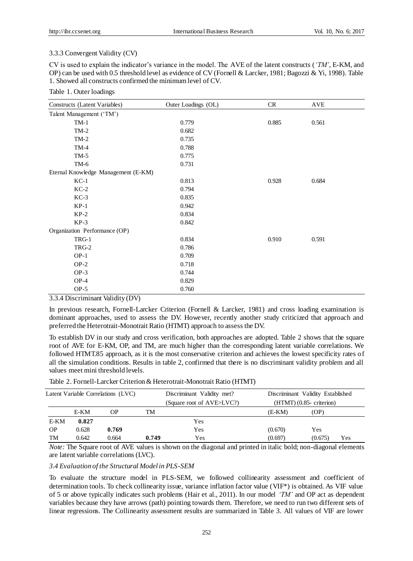#### 3.3.3 Convergent Validity (CV)

CV is used to explain the indicator's variance in the model. The AVE of the latent constructs (*'TM'*, E-KM, and OP) can be used with 0.5 threshold level as evidence of CV (Fornell & Larcker, 1981; Bagozzi & Yi, 1998). Table 1. Showed all constructs confirmed the minimum level of CV.

# Table 1. Outer loadings

| Constructs (Latent Variables)                         | Outer Loadings (OL) | CR    | <b>AVE</b> |
|-------------------------------------------------------|---------------------|-------|------------|
| Talent Management ('TM')                              |                     |       |            |
| $TM-1$                                                | 0.779               | 0.885 | 0.561      |
| $TM-2$                                                | 0.682               |       |            |
| $TM-2$                                                | 0.735               |       |            |
| $TM-4$                                                | 0.788               |       |            |
| $TM-5$                                                | 0.775               |       |            |
| $TM-6$                                                | 0.731               |       |            |
| Eternal Knowledge Management (E-KM)                   |                     |       |            |
| $KC-1$                                                | 0.813               | 0.928 | 0.684      |
| $KC-2$                                                | 0.794               |       |            |
| $KC-3$                                                | 0.835               |       |            |
| $KP-1$                                                | 0.942               |       |            |
| $KP-2$                                                | 0.834               |       |            |
| $KP-3$                                                | 0.842               |       |            |
| Organization Performance (OP)                         |                     |       |            |
| TRG-1                                                 | 0.834               | 0.910 | 0.591      |
| TRG-2                                                 | 0.786               |       |            |
| $OP-1$                                                | 0.709               |       |            |
| $OP-2$                                                | 0.718               |       |            |
| $OP-3$                                                | 0.744               |       |            |
| $OP-4$                                                | 0.829               |       |            |
| $OP-5$<br>$\mathbf{r}$<br>$\sim$ $\sim$ $\sim$ $\sim$ | 0.760               |       |            |

3.3.4 Discriminant Validity (DV)

In previous research, Fornell-Larcker Criterion (Fornell & Larcker, 1981) and cross loading examination is dominant approaches, used to assess the DV. However, recently another study criticized that approach and preferred the Heterotrait-Monotrait Ratio (HTMT) approach to assess the DV.

To establish DV in our study and cross verification, both approaches are adopted. Table 2 shows that the square root of AVE for E-KM, OP, and TM, are much higher than the corresponding latent variable correlations. We followed HTMT.85 approach, as it is the most conservative criterion and achieves the lowest specificity rates of all the simulation conditions. Results in table 2, confirmed that there is no discriminant validity problem and all values meet mini threshold levels.

| Latent Variable Correlations (LVC) |       |           | Discriminant Validity met?<br>(Square root of AVE>LVC?) |     | Discriminant Validity Established<br>$(HTMT)$ (0.85- criterion) |         |     |
|------------------------------------|-------|-----------|---------------------------------------------------------|-----|-----------------------------------------------------------------|---------|-----|
|                                    | E-KM  | <b>OP</b> | TM                                                      |     | (E-KM)                                                          | (OP)    |     |
| E-KM                               | 0.827 |           |                                                         | Yes |                                                                 |         |     |
| <b>OP</b>                          | 0.628 | 0.769     |                                                         | Yes | (0.670)                                                         | Yes     |     |
| TM                                 | 0.642 | 0.664     | 0.749                                                   | Yes | (0.697)                                                         | (0.675) | Yes |

*Note:* The Square root of AVE values is shown on the diagonal and printed in italic bold; non-diagonal elements are latent variable correlations (LVC).

#### *3.4 Evaluation of the Structural Model in PLS-SEM*

To evaluate the structure model in PLS-SEM, we followed collinearity assessment and coefficient of determination tools. To check collinearity issue, variance inflation factor value (VIF\*) is obtained. As VIF value of 5 or above typically indicates such problems (Hair et al., 2011). In our model *'TM'* and OP act as dependent variables because they have arrows (path) pointing towards them. Therefore, we need to run two different sets of linear regressions. The Collinearity assessment results are summarized in Table 3. All values of VIF are lower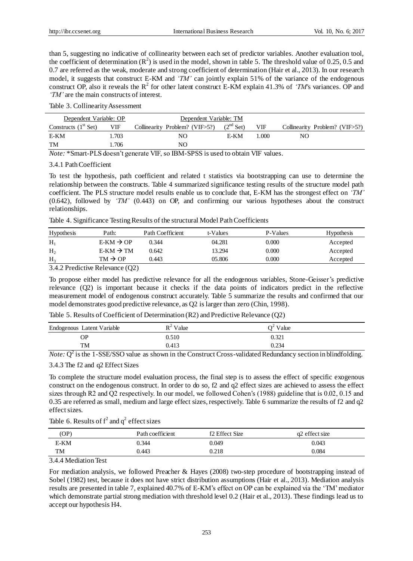than 5, suggesting no indicative of collinearity between each set of predictor variables. Another evaluation tool, the coefficient of determination  $(R^2)$  is used in the model, shown in table 5. The threshold value of 0.25, 0.5 and 0.7 are referred as the weak, moderate and strong coefficient of determination (Hair et al., 2013). In our research model, it suggests that construct E-KM and *'TM'* can jointly explain 51% of the variance of the endogenous construct OP, also it reveals the  $R^2$  for other latent construct E-KM explain 41.3% of *'TM's* variances. OP and *'TM'* are the main constructs of interest.

Table 3. Collinearity Assessment

| Dependent Variable: OP |       | Dependent Variable: TM         |                |            |                                |
|------------------------|-------|--------------------------------|----------------|------------|--------------------------------|
| Constructs $(1st Set)$ | VIF   | Collinearity Problem? (VIF>5?) | $(2^{nd}$ Set) | <b>VIF</b> | Collinearity Problem? (VIF>5?) |
| E-KM                   | .703  | NО                             | E-KM           | 1.000      | NO                             |
| TM                     | 1.706 | NΟ                             |                |            |                                |

*Note:* \*Smart-PLS doesn't generate VIF, so IBM-SPSS is used to obtain VIF values.

#### 3.4.1 Path Coefficient

To test the hypothesis, path coefficient and related t statistics via bootstrapping can use to determine the relationship between the constructs. Table 4 summarized significance testing results of the structure model path coefficient. The PLS structure model results enable us to conclude that, E-KM has the strongest effect on *'TM'* (0.642), followed by *'TM'* (0.443) on OP, and confirming our various hypotheses about the construct relationships.

Table 4. Significance Testing Results of the structural Model Path Coefficients

| Hypothesis                                                      | Path:                 | Path Coefficient | t-Values | P-Values | <b>Hypothesis</b> |
|-----------------------------------------------------------------|-----------------------|------------------|----------|----------|-------------------|
| $H_1$                                                           | $E-KM \rightarrow OP$ | 0.344            | 04.281   | 0.000    | Accepted          |
| H <sub>2</sub>                                                  | $E-KM \rightarrow TM$ | 0.642            | 13.294   | 0.000    | Accepted          |
| $H_3$                                                           | $TM \rightarrow OP$   | 0.443            | 05.806   | 0.000    | Accepted          |
| $\alpha$ in $\alpha$ $\alpha$ $\beta$ $\beta$ $\gamma$ $\gamma$ | (0.0)<br>$\mathbf{r}$ |                  |          |          |                   |

#### 3.4.2 Predictive Relevance (Q2)

To propose either model has predictive relevance for all the endogenous variables, Stone-Geisser's predictive relevance (Q2) is important because it checks if the data points of indicators predict in the reflective measurement model of endogenous construct accurately. Table 5 summarize the results and confirmed that our model demonstrates good predictive relevance, as Q2 is larger than zero (Chin, 1998).

| Endogenous Latent Variable | $R^2$ Value | $Q^2$ Value |  |
|----------------------------|-------------|-------------|--|
| ОP                         | 0.510       | 0.321       |  |
| TM                         | 0.413       | 0.234       |  |

*Note:*  $Q^2$  is the 1-SSE/SSO value as shown in the Construct Cross-validated Redundancy section in blindfolding. 3.4.3 The f2 and q2 Effect Sizes

To complete the structure model evaluation process, the final step is to assess the effect of specific exogenous construct on the endogenous construct. In order to do so, f2 and q2 effect sizes are achieved to assess the effect sizes through R2 and Q2 respectively. In our model, we followed Cohen's (1988) guideline that is 0.02, 0.15 and 0.35 are referred as small, medium and large effect sizes, respectively. Table 6 summarize the results of f2 and q2 effect sizes.

|  |  |  | Table 6. Results of $f^2$ and $q^2$ effect sizes |
|--|--|--|--------------------------------------------------|
|--|--|--|--------------------------------------------------|

| (OP) | Path coefficient | f2 Effect Size | q2 effect size |
|------|------------------|----------------|----------------|
| E-KM | 0.344            | 0.049          | 0.043          |
| TM   | 0.443            | 0.218          | 0.084          |

3.4.4 Mediation Test

For mediation analysis, we followed Preacher & Hayes (2008) two-step procedure of bootstrapping instead of Sobel (1982) test, because it does not have strict distribution assumptions (Hair et al., 2013). Mediation analysis results are presented in table 7, explained 40.7% of E-KM's effect on OP can be explained via the 'TM' mediator which demonstrate partial strong mediation with threshold level 0.2 (Hair et al., 2013). These findings lead us to accept our hypothesis H4.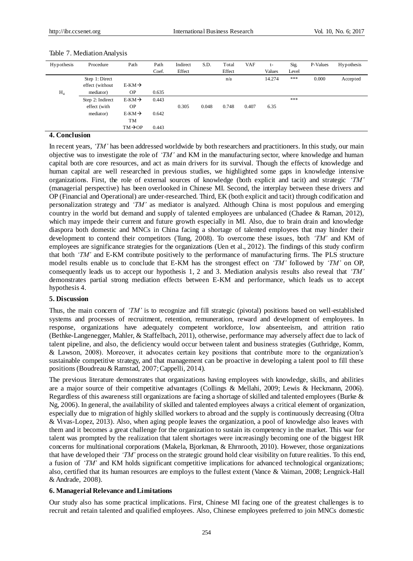| Hypothesis | Procedure        | Path                | Path  | Indirect | S.D.  | Total  | <b>VAF</b> | $t-$   | Sig.  | P-Values | Hypothesis |
|------------|------------------|---------------------|-------|----------|-------|--------|------------|--------|-------|----------|------------|
|            |                  |                     | Coef. | Effect   |       | Effect |            | Values | Level |          |            |
|            | Step 1: Direct   |                     |       |          |       | n/a    |            | 14.274 | ***   | 0.000    | Accepted   |
|            | effect (without  | $E-KM \rightarrow$  |       |          |       |        |            |        |       |          |            |
| $H_4$      | mediator)        | <b>OP</b>           | 0.635 |          |       |        |            |        |       |          |            |
|            | Step 2: Indirect | $E-KM \rightarrow$  | 0.443 |          |       |        |            |        | ***   |          |            |
|            | effect (with     | <b>OP</b>           |       | 0.305    | 0.048 | 0.748  | 0.407      | 6.35   |       |          |            |
|            | mediator)        | $E-KM \rightarrow$  | 0.642 |          |       |        |            |        |       |          |            |
|            |                  | <b>TM</b>           |       |          |       |        |            |        |       |          |            |
|            |                  | $TM \rightarrow OP$ | 0.443 |          |       |        |            |        |       |          |            |

## Table 7. Mediation Analysis

## **4. Conclusion**

In recent years, *'TM'* has been addressed worldwide by both researchers and practitioners. In this study, our main objective was to investigate the role of *'TM'* and KM in the manufacturing sector, where knowledge and human capital both are core resources, and act as main drivers for its survival. Though the effects of knowledge and human capital are well researched in previous studies, we highlighted some gaps in knowledge intensive organizations. First, the role of external sources of knowledge (both explicit and tacit) and strategic *'TM'* (managerial perspective) has been overlooked in Chinese MI. Second, the interplay between these drivers and OP (Financial and Operational) are under-researched. Third, EK (both explicit and tacit) through codification and personalization strategy and *'TM'* as mediator is analyzed. Although China is most populous and emerging country in the world but demand and supply of talented employees are unbalanced (Chadee & Raman, 2012), which may impede their current and future growth especially in MI. Also, due to brain drain and knowledge diaspora both domestic and MNCs in China facing a shortage of talented employees that may hinder their development to contend their competitors (Tung, 2008). To overcome these issues, both *'TM'* and KM of employees are significance strategies for the organizations (Uen et al., 2012). The findings of this study confirm that both *'TM'* and E-KM contribute positively to the performance of manufacturing firms. The PLS structure model results enable us to conclude that E-KM has the strongest effect on *'TM'* followed by *'TM'* on OP, consequently leads us to accept our hypothesis 1, 2 and 3. Mediation analysis results also reveal that *'TM'* demonstrates partial strong mediation effects between E-KM and performance, which leads us to accept hypothesis 4.

#### **5. Discussion**

Thus, the main concern of *'TM'* is to recognize and fill strategic (pivotal) positions based on well-established systems and processes of recruitment, retention, remuneration, reward and development of employees. In response, organizations have adequately competent workforce, low absenteeism, and attrition ratio (Bethke-Langenegger, Mahler, & Staffelbach, 2011), otherwise, performance may adversely affect due to lack of talent pipeline, and also, the deficiency would occur between talent and business strategies (Guthridge, Komm, & Lawson, 2008). Moreover, it advocates certain key positions that contribute more to the organization's sustainable competitive strategy, and that management can be proactive in developing a talent pool to fill these positions (Boudreau & Ramstad, 2007; Cappelli, 2014).

The previous literature demonstrates that organizations having employees with knowledge, skills, and abilities are a major source of their competitive advantages (Collings & Mellahi, 2009; Lewis & Heckmann, 2006). Regardless of this awareness still organizations are facing a shortage of skilled and talented employees (Burke & Ng, 2006). In general, the availability of skilled and talented employees always a critical element of organization, especially due to migration of highly skilled workers to abroad and the supply is continuously decreasing (Oltra & Vivas-Lopez, 2013). Also, when aging people leaves the organization, a pool of knowledge also leaves with them and it becomes a great challenge for the organization to sustain its competency in the market. This war for talent was prompted by the realization that talent shortages were increasingly becoming one of the biggest HR concerns for multinational corporations (Makela, Bjorkman, & Ehrnrooth, 2010). However, those organizations that have developed their *'TM'* process on the strategic ground hold clear visibility on future realities. To this end, a fusion of *'TM'* and KM holds significant competitive implications for advanced technological organizations; also, certified that its human resources are employs to the fullest extent (Vance & Vaiman, 2008; Lengnick-Hall & Andrade, 2008).

## **6. Managerial Relevance and Limitations**

Our study also has some practical implications. First, Chinese MI facing one of the greatest challenges is to recruit and retain talented and qualified employees. Also, Chinese employees preferred to join MNCs domestic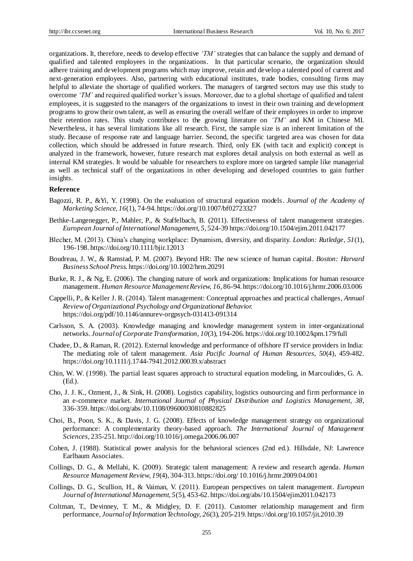organizations. It, therefore, needs to develop effective *'TM'* strategies that can balance the supply and demand of qualified and talented employees in the organizations. In that particular scenario, the organization should adhere training and development programs which may improve, retain and develop a talented pool of current and next-generation employees. Also, partnering with educational institutes, trade bodies, consulting firms may helpful to alleviate the shortage of qualified workers. The managers of targeted sectors may use this study to overcome *'TM'* and required qualified worker's issues. Moreover, due to a global shortage of qualified and talent employees, it is suggested to the managers of the organizations to invest in their own training and development programs to grow their own talent, as well as ensuring the overall welfare of their employees in order to improve their retention rates. This study contributes to the growing literature on *'TM'* and KM in Chinese MI. Nevertheless, it has several limitations like all research. First, the sample size is an inherent limitation of the study. Because of response rate and language barrier. Second, the specific targeted area was chosen for data collection, which should be addressed in future research. Third, only EK (with tacit and explicit) concept is analyzed in the framework, however, future research mat explores detail analysis on both external as well as internal KM strategies. It would be valuable for researchers to explore more on targeted sample like managerial as well as technical staff of the organizations in other developing and developed countries to gain further insights.

#### **Reference**

- Bagozzi, R. P., &Yi, Y. (1998). On the evaluation of structural equation models. *Journal of the Academy of Marketing Science, 16*(1), 74-94. https://doi.org/10.1007/bf02723327
- Bethke-Langenegger, P., Mahler, P., & Staffelbach, B. (2011). Effectiveness of talent management strategies. *European Journal of International Managemen*t*, 5,* 524-39 https://doi.org/10.1504/ejim.2011.042177
- Blecher, M. (2013). China's changing workplace: Dynamism, diversity, and disparity. *London: Rutledge, 51*(1), 196-198. https://doi.org/10.1111/bjir.12013
- Boudreau, J. W., & Ramstad, P. M. (2007). Beyond HR: The new science of human capital. *Boston: Harvard Business School Press.* https://doi.org/10.1002/hrm.20291
- Burke, R. J., & Ng, E. (2006). The changing nature of work and organizations: Implications for human resource management. *Human Resource Management Review, 16,* 86-94. https://doi.org/10.1016/j.hrmr.2006.03.006
- [Cappelli,](https://mgmt.wharton.upenn.edu/profile/1307/) P., & Keller J. R. (2014)[. Talent management: Conceptual approaches and practical challenges,](http://www.annualreviews.org/doi/pdf/10.1146/annurev-orgpsych-031413-091314) *Annual Review of Organizational Psychology and Organizational Behavior.* https://doi.org/pdf/10.1146/annurev-orgpsych-031413-091314
- Carlsson, S. A. (2003). Knowledge managing and knowledge management system in inter-organizational networks. *Journal of Corporate Transformation[, 10](http://onlinelibrary.wiley.com/doi/10.1002/kpm.v10:3/issuetoc)*(3), 194-206. https://doi.org/10.1002/kpm.179/full
- Chadee, D., & Raman, R. (2012). External knowledge and performance of offshore IT service providers in India: The mediating role of talent management. *Asia Pacific Journal of Human Resources, 50*(4), 459-482. https://doi.org/10.1111/j.1744-7941.2012.00039.x/abstract
- Chin, W. W. (1998). The partial least squares approach to structural equation modeling, in Marcoulides, G. A. (Ed.).
- Cho, J. J. K., Ozment, J., & Sink, H. (2008). Logistics capability, logistics outsourcing and firm performance in an e-commerce market. *International Journal of Physical Distribution and Logistics Management, 38,*  336-359. https://doi.org/abs/10.1108/09600030810882825
- Choi, B., Poon, S. K., & Davis, J. G. (2008). Effects of knowledge management strategy on organizational performance: A complementarity theory-based approach. *The International Journal of Management Sciences,* 235-251. http://doi.org/10.1016/j.omega.2006.06.007
- Cohen, J. (1988). Statistical power analysis for the behavioral sciences (2nd ed.). Hillsdale, NJ: Lawrence Earlbaum Associates.
- Collings, D. G., & Mellahi, K. (2009). Strategic talent management: A review and research agenda. *Human Resource Management Review, 19*(4), 304-313. https://doi.org/ 10.1016/j.hrmr.2009.04.001
- Collings, D. G., Scullion, H., & Vaiman, V. (2011). European perspectives on talent management. *European Journal of International Management, 5*(5), 453-62. https://doi.org/abs/10.1504/ejim2011.042173
- Coltman, T., Devinney, T. M., & Midgley, D. F. (2011). Customer relationship management and firm performance, *Journal of Information Technology, 26*(3), 205-219. https://doi.org/10.1057/jit.2010.39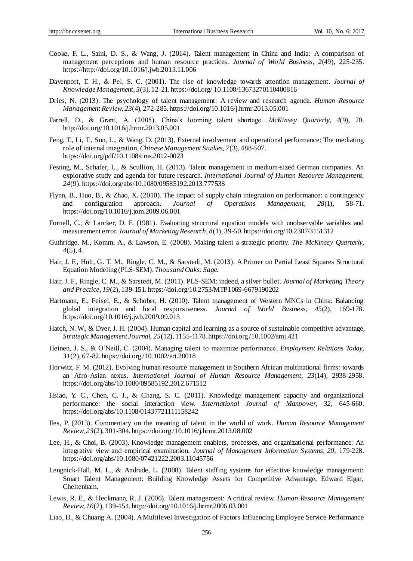- Cooke, F. L., Saini, D. S., & Wang, J. (2014). Talent management in China and India: A comparison of management perceptions and human resource practices. *[Journal of World Business,](http://www.sciencedirect.com/science/journal/10909516) 2*(49), 225-235. https://http://doi.org/10.1016/j.jwb.2013.11.006
- Davenport, T. H., & Pel, S. C. (2001). The rise of knowledge towards attention management. *Journal of Knowledge Management, 5*(3), 12-21. https://doi.org/ 10.1108/13673270110400816
- Dries, N. (2013). The psychology of talent management: A review and research agenda. *Human Resource Management Review, 23*(4), 272-285. https://doi.org/10.1016/j.hrmr.2013.05.001
- Farrell, D., & Grant, A. (2005). China's looming talent shortage. *McKinsey Quarterly, 4*(9), 70. http://doi.org/10.1016/j.hrmr.2013.05.001
- Feng, T., Li, T., Sun, L., & Wang, D. (2013). External involvement and operational performance: The mediating role of internal integration.*Chinese Management Studies, 7*(3), 488-507. https://doi.org/pdf/10.1108/cms.2012-0023
- Festing, M., Schafer, L., & Scullion, H. (2013). Talent management in medium-sized German companies. An explorative study and agenda for future research. *International Journal of Human Resource Management, 24*(9). https://doi.org/abs/10.1080/09585192.2013.777538
- Flynn, B., Huo, B., & Zhao, X. (2010). The impact of supply chain integration on performance: a contingency and configuration approach. *Journal of Operations Management, 28*(1), 58-71. https://doi.org/10.1016/j.jom.2009.06.001
- Fornell, C., & Larcker, D. F. (1981). Evaluating structural equation models with unobservable variables and measurement error. *Journal of Marketing Research, 8*(1), 39-50. https://doi.org/10.2307/3151312
- Guthridge, M., Komm, A., & Lawson, E. (2008). Making talent a strategic priority. *The McKinsey Quarterly, 4*(5), 4.
- Hair, J. F., Hult, G. T. M., Ringle, C. M., & Sarstedt, M. (2013). A Primer on Partial Least Squares Structural Equation Modeling (PLS-SEM). *Thousand Oaks: Sage.*
- Hair, J. F., Ringle, C. M., & Sarstedt, M. (2011). PLS-SEM: indeed, a silver bullet. *Journal of Marketing Theory and Practice, 19*(2), 139-151. https://doi.org/10.2753/MTP1069-6679190202
- Hartmann, E., Feisel, E., & Schober, H. (2010). Talent management of Western MNCs in China: Balancing global integration and local responsiveness. *Journal of World Business, 45*(2), 169-178. https://doi.org/10.1016/j.jwb.2009.09.013
- Hatch, N. W., & Dyer, J. H. (2004). Human capital and learning as a source of sustainable competitive advantage, *Strategic Management Journal, 25*(12), 1155-1178. https://doi.org /10.1002/smj.421
- Heinen, J. S., & O'Neill, C. (2004). Managing talent to maximize performance. *Employment Relations Today, 31*(2), 67-82. https://doi.org /10.1002/ert.20018
- Horwitz, F. M. (2012). Evolving human resource management in Southern African multinational firms: towards an Afro-Asian nexus. *International Journal of Human Resource Management, 23*(14), 2938-2958. https://doi.org/abs/10.1080/09585192.2012.671512
- Hsiao, Y. C., Chen, C. J., & Chang, S. C. (2011). Knowledge management capacity and organizational performance: the social interaction view. *International Journal of Manpower, 32,* 645-660. https://doi.org/abs/10.1108/01437721111158242
- Iles, P. (2013). Commentary on the meaning of talent in the world of work. *Human Resource Management Review, 23*(2), 301-304[. https://doi.org /10.1016/j.hrmr.2013.08.002](https://doi/10.1016/j.hrmr.2013.08.002)
- Lee, H., & Choi, B. (2003). Knowledge management enablers, processes, and organizational performance: An integrative view and empirical examination. *Journal of Management Information Systems, 20,* 179-228. https://doi.org/abs/10.1080/07421222.2003.11045756
- Lengnick-Hall, M. L., & Andrade, L. (2008). Talent staffing systems for effective knowledge management: Smart Talent Management: Building Knowledge Assets for Competitive Advantage, Edward Elgar, Cheltenham.
- Lewis, R. E., & Heckmann, R. J. (2006). Talent management: A critical review. *Human Resource Management Review, 16*(2), 139-154[. http://doi.org/10.1016/j.hrmr.2006.03.001](http://doi.org/10.1016/j.hrmr.2006.03.001)
- Liao, H., & Chuang A. (2004). A Multilevel Investigation of Factors Influencing Employee Service Performance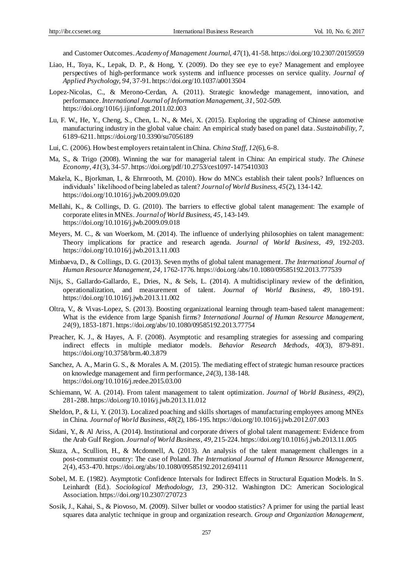and Customer Outcomes. *Academy of Management Journal, 47*(1), 41-58. https://doi.org/10.2307/20159559

- Liao, H., Toya, K., Lepak, D. P., & Hong, Y. (2009). Do they see eye to eye? Management and employee perspectives of high-performance work systems and influence processes on service quality. *Journal of Applied Psychology, 94,* 37-91. https://doi.org/10.1037/a0013504
- Lopez-Nicolas, C., & Merono-Cerdan, A. (2011). Strategic knowledge management, innovation, and performance.*International Journal of Information Management, 31,* 502-509. https://doi.org/1016/j.ijinfomgt.2011.02.003
- Lu, F. W., He, Y., Cheng, S., Chen, L. N., & Mei, X. (2015). Exploring the upgrading of Chinese automotive manufacturing industry in the global value chain: An empirical study based on panel data. *Sustainability, 7,*  6189-6211. https://doi.org/10.3390/su7056189
- Lui, C. (2006). How best employers retain talent in China. *China Staff, 12*(6), 6-8.
- Ma, S., & Trigo (2008). Winning the war for managerial talent in China: An empirical study. *The Chinese Economy*, *41*(3), 34-57. https://doi.org/pdf/10.2753/ces1097-1475410303
- Makela, K., Bjorkman, I., & Ehrnrooth, M. (2010). How do MNCs establish their talent pools? Influences on individuals' likelihood of being labeled as talent? *Journal of World Business, 45*(2), 134-142. <https://doi.org/10.1016/j.jwb.2009.09.020>
- Mellahi, K., & Collings, D. G. (2010). The barriers to effective global talent management: The example of corporate elites in MNEs. *Journal of World Business, 45,* 143-149. https://doi.org/10.1016/j.jwb.2009.09.018
- Meyers, M. C., & van Woerkom, M. (2014). The influence of underlying philosophies on talent management: Theory implications for practice and research agenda. *Journal of World Business, 49,* 192-203. <https://doi.org/10.1016/j.jwb.2013.11.003>
- Minbaeva, D., & Collings, D. G. (2013). Seven myths of global talent management. *The International Journal of Human Resource Management, 24,* 1762-1776[. https://doi.org /abs/10.1080/09585192.2013.777539](https://doi/abs/10.1080/09585192.2013.777539)
- Nijs, S., Gallardo-Gallardo, E., Dries, N., & Sels, L. (2014). A multidisciplinary review of the definition, operationalization, and measurement of talent. *Journal of World Business, 49,* 180-191. <https://doi.org/10.1016/j.jwb.2013.11.002>
- Oltra, V., & Vivas-Lopez, S. (2013). Boosting organizational learning through team-based talent management: What is the evidence from large Spanish firms? *International Journal of Human Resource Management, 24*(9), 1853-1871. https://doi.org/abs/10.1080/09585192.2013.77754
- Preacher, K. J., & Hayes, A. F. (2008). Asymptotic and resampling strategies for assessing and comparing indirect effects in multiple mediator models. *Behavior Research Methods, 40*(3), 879-891. https://doi.org/10.3758/brm.40.3.879
- Sanchez, A. A., Marin G. S., & Morales A. M. (2015). The mediating effect of strategic human resource practices on knowledge management and firm performance, *24*(3), 138-148. https://doi.org/10.1016/j.redee.2015.03.00
- Schiemann, W. A. (2014). From talent management to talent optimization. *Journal of World Business, 49*(2), 281-288[. https://doi.org/10.1016/j.jwb.2013.11.012](https://doi.org/10.1016/j.jwb.2013.11.012)
- Sheldon, P., & Li, Y. (2013). Localized poaching and skills shortages of manufacturing employees among MNEs in China. *Journal of World Business, 48*(2), 186-195[. https://doi.org/10.1016/j.jwb.2012.07.003](https://doi.org/10.1016/j.jwb.2012.07.003)
- Sidani, Y., & Al Ariss, A. (2014). Institutional and corporate drivers of global talent management: Evidence from the Arab Gulf Region. *Journal of World Business, 49,* 215-224. https://doi.org/10.1016/j.jwb.2013.11.005
- Skuza, A., Scullion, H., & Mcdonnell, A. (2013). An analysis of the talent management challenges in a post-communist country: The case of Poland. *The International Journal of Human Resource Management, 2*(4), 453-470. https://doi.org/abs/10.1080/09585192.2012.694111
- Sobel, M. E. (1982). Asymptotic Confidence Intervals for Indirect Effects in Structural Equation Models. In S. Leinhardt (Ed.). *Sociological Methodology, 13,* 290-312. Washington DC: American Sociological Association. https://doi.org/10.2307/270723
- Sosik, J., Kahai, S., & Piovoso, M. (2009). Silver bullet or voodoo statistics? A primer for using the partial least squares data analytic technique in group and organization research. *Group and Organization Management,*